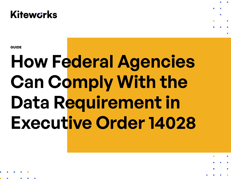

**GUIDE**

# **How Federal Agencies Can Comply With the Data Requirement in Executive Order 14028**

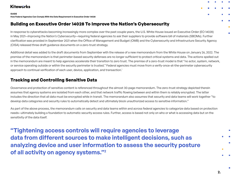#### **GUIDE How Federal Agencies Can Comply With the Data Requirement in Executive Order 14028**

## **Building on Executive Order 14028 To Improve the Nation's Cybersecurity**

In response to cyberattacks becoming increasingly more complex over the past couple years, the U.S. White House issued an Executive Order (EO 14028) in May 2021—*Improving the Nation's Cybersecurity*—requiring federal agencies to ask their suppliers to provide software bill of materials (SBOMs). Further clarification was provided in September 2021 when the Office of Management and Budget (OMB) and the Cybersecurity and Infrastructure Security Agency (CISA) released three draft guidance documents on a zero-trust strategy.

Additional detail was added to the draft documents from September with the release of a new memorandum from the White House on January 26, 2022. The premise of the memorandum is that perimeter-based security defenses are no longer sufficient to protect critical systems and data. The actions spelled out in the memorandum are meant to help agencies accelerate their transition to zero trust. The premise of a zero-trust model is that "no actor, system, network, or service operating outside or within the security perimeter is trusted." Federal agencies must move from a verify-once-at-the-perimeter cybersecurity approach to continual verification of each user, device, application, and transaction.<sup>1</sup>

### **Tracking and Controlling Sensitive Data**

Governance and protection of sensitive content is referenced throughout the almost 30-page memorandum. The zero-trust strategy depicted therein assumes that agency systems are isolated from each other, and that network traffic flowing between and within them is reliably encrypted. The latter includes the direction that all data must be encrypted while in transit. The memorandum also assumes that security and data teams will work together "to develop data categories and security rules to automatically detect and ultimately block unauthorized access to sensitive information."

As part of the above process, the memorandum calls on security and data teams within and across federal agencies to categorize data based on protection needs—ultimately building a foundation to automatic security access rules. Further, access is based not only on who or what is accessing data but on the sensitivity of the data itself.

**"Tightening access controls will require agencies to leverage data from different sources to make intelligent decisions, such as analyzing device and user information to assess the security posture of all activity on agency systems."2**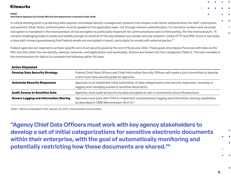#### **GUIDE**

#### **How Federal Agencies Can Comply With the Data Requirement in Executive Order 14028**

A critical starting point in protecting data requires centralized identity management systems that employ multi-factor authentication for staff, contractors, and partners. Multi-factor authentication must be applied at the application layer, not through network authentication. For sensitive content sent via email, encryption is mandated in the memorandum. Email encryption is particularly important for communications sent to third parties. Per the memorandum, "It remains challenging today to easily and reliably encrypt an email all of the way between any sender and any recipient. Unlike HTTP and DNS, there is not today a clear path forward guaranteeing that Federal emails are encrypted in transit, particularly for emails with external parties."3

Federal agencies are required to achieve specific zero-trust security goals by the end of fiscal year 2024. These goals encompass five areas with data as the fifth one (the other four are identity, devices, networks, and applications and workloads). Actions are broken into four categories (Table 1). The task mandate in the memorandum for data is to complete the following within 120 days:

| <b>Action Stipulated</b>                      |                                                                                                                                                                |
|-----------------------------------------------|----------------------------------------------------------------------------------------------------------------------------------------------------------------|
| <b>Develop Data Security Strategy</b>         | Federal Chief Data Officers and Chief Information Security Officers will create a joint committee to develop<br>a zero-trust data security guide for agencies. |
| <b>Automate Security Responses</b>            | Agencies must implement initial automation of data categorization and security responses, focusing on<br>tagging and managing access to sensitive documents.   |
| <b>Audit Access to Sensitive Data</b>         | Agencies must audit access to any data encrypted at rest in commercial cloud infrastructure.                                                                   |
| <b>Govern Logging and Information Sharing</b> | Agencies must work with CISA to implement comprehensive logging and information-sharing capabilities,<br>as described in OMB Memorandum M-21-31.4              |

Table 1. Actions stipulated in the January 26, 2022, memorandum around data.

**"Agency Chief Data Officers must work with key agency stakeholders to develop a set of initial categorizations for sensitive electronic documents within their enterprise, with the goal of automatically monitoring and potentially restricting how these documents are shared."5**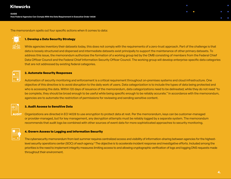**GUIDE How Federal Agencies Can Comply With the Data Requirement in Executive Order 14028**



The memorandum spells out four specific actions when it comes to data:

#### **1. Develop a Data Security Strategy**

While agencies inventory their datasets today, this does not comply with the requirements of a zero-trust approach. Part of the challenge is that data is loosely structured and dispersed and intermediate datasets exist principally to support the maintenance of other primary datasets. To address this issue, the memorandum authorizes the formation of a working group led by the OMB consisting of members from the Federal Chief Data Officer Council and the Federal Chief Information Security Officer Council. The working group will develop enterprise-specific data categories that are not addressed by existing federal categories.

#### **2. Automate Security Responses**

Automation of security monitoring and enforcement is a critical requirement throughout on-premises systems and cloud infrastructure. One objective of this directive is to avoid disruption to the daily work of users. Data categorization is to include the types of data being protected and who is accessing the data. Within 120 days of issuance of the memorandum, data categorizations need to be delineated; while they do not need "to be complete, they should be broad enough to be useful while being specific enough to be reliably accurate." In accordance with the memorandum, agencies are to automate the restriction of permissions for reviewing and sending sensitive content.

#### **3. Audit Access to Sensitive Data**

**AUDIT** Organizations are directed in EO 14028 to use encryption to protect data at rest. Per the memorandum, keys can be customer-managed or provider-managed, but for key management, any decryption attempts must be reliably logged by a separate system. The memorandum recommends that audit logs be combined with other sources of event data for more sophisticated approaches to security monitoring.

#### **4. Govern Access to Logging and Information Security**

The cybersecurity memorandum from last summer requires centralized access and visibility of information-sharing between agencies for the highestlevel security operations center (SOC) of each agency.<sup>6</sup> The objective is to accelerate incident response and investigative efforts. Included among the priorities is the need to implement integrity measures limiting access to and allowing cryptographic verification of logs and logging DNS requests made throughout their environment.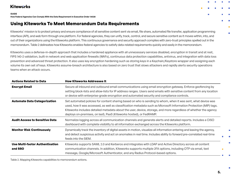#### **GUIDE**

**How Federal Agencies Can Comply With the Data Requirement in Executive Order 14028**

## **Using Kiteworks To Meet Memorandum Data Requirements**

Kiteworks' mission is to protect privacy and ensure compliance of all sensitive content sent via email, file share, automated file transfer, application programming interface (API), and web form through one platform. For federal agencies, they can unify, track, control, and secure sensitive content as it moves within, into, and out of their organizations using the Kiteworks platform. This continuous governance and security approach complies with zero-trust principles spelled out in the memorandum. Table 2 delineates how Kiteworks enables federal agencies to satisfy data-related requirements quickly and easily in the memorandum.

Kiteworks uses a defense-in-depth approach that includes a hardened appliance with all unnecessary services disabled, encryption in transit and at rest, FIPS 140-2 validation, built-in network and web application firewalls (WAFs), continuous data protection capabilities, antivirus, and integration with data loss prevention and advanced threat protection. It also uses key encryption hardening such as storing keys in a Keychain/Keystore wrapper and assigning each volume its own set of keys. Kiteworks assume-breach architecture is also based on zero trust that slows attackers and rapidly alerts security operations teams when an attack occurs.

| <b>Actions Related to Data</b>             | <b>How Kiteworks Addresses It</b>                                                                                                                                                                                                                                                                                                                                                                                            |
|--------------------------------------------|------------------------------------------------------------------------------------------------------------------------------------------------------------------------------------------------------------------------------------------------------------------------------------------------------------------------------------------------------------------------------------------------------------------------------|
| <b>Encrypt Email</b>                       | Secure all inbound and outbound email communications using email encryption gateway. Enforce geofencing by<br>setting block-lists and allow-lists for IP address ranges. Users send emails with sensitive content from any location<br>or device with enterprise-grade encryption and automated security and compliance controls.                                                                                            |
| <b>Automate Data Categorization</b>        | Set automated policies for content sharing based on who is sending to whom, when it was sent, what device was<br>used, how it was accessed, as well as classification metadata such as Microsoft Information Protection (MIP) tags.<br>Kiteworks includes detailed metadata about the user, device, storage, and more regardless of whether the agency<br>deploys on-premises, on laaS, PaaS (Kiteworks hosted), or FedRAMP. |
| <b>Audit Access to Sensitive Data</b>      | Normalize logging across all communication channels and generate alerts and detailed reports. Includes a CISO<br>dashboard with complete visibility to all information exchanged across the Kiteworks platform.                                                                                                                                                                                                              |
| <b>Monitor Risk Continuously</b>           | Dynamically track the inventory of digital assets in motion, visualize all information entering and leaving the agency,<br>and detect suspicious activity and act on anomalies in real time. Includes ability to forward pre-correlated real-time<br>feeds into the SIEM.                                                                                                                                                    |
| Use Multi-factor Authentication<br>and SSO | Kiteworks supports SAML 2.0 and Kerberos and integrates with LDAP and Active Directory across all content<br>communication channels. In addition, Kiteworks supports multiple 2FA options, including OTP via email, text<br>message, Google/Microsoft Authenticator, and any Radius Protocol-based options.                                                                                                                  |

Table 2. Mapping Kiteworks capabilities to memorandum actions.

г

Л

×